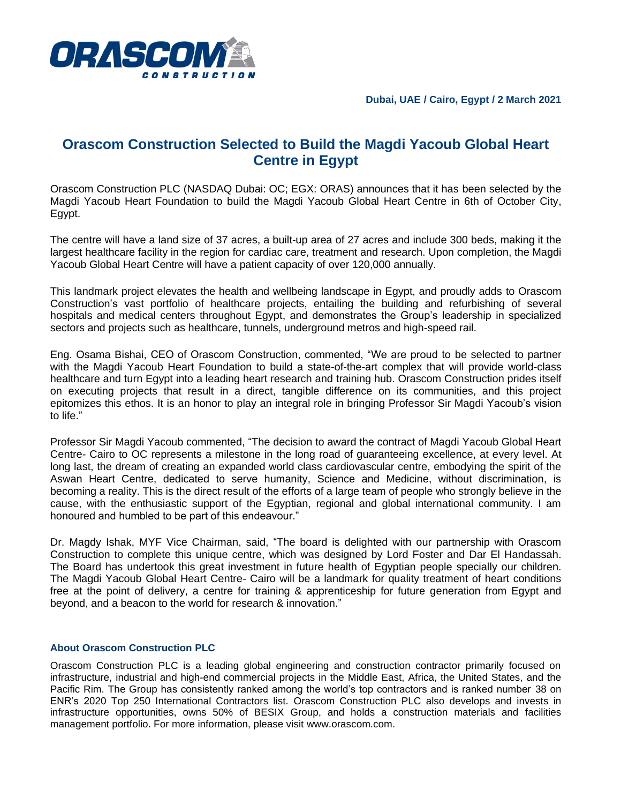

## **Orascom Construction Selected to Build the Magdi Yacoub Global Heart Centre in Egypt**

Orascom Construction PLC (NASDAQ Dubai: OC; EGX: ORAS) announces that it has been selected by the Magdi Yacoub Heart Foundation to build the Magdi Yacoub Global Heart Centre in 6th of October City, Egypt.

The centre will have a land size of 37 acres, a built-up area of 27 acres and include 300 beds, making it the largest healthcare facility in the region for cardiac care, treatment and research. Upon completion, the Magdi Yacoub Global Heart Centre will have a patient capacity of over 120,000 annually.

This landmark project elevates the health and wellbeing landscape in Egypt, and proudly adds to Orascom Construction's vast portfolio of healthcare projects, entailing the building and refurbishing of several hospitals and medical centers throughout Egypt, and demonstrates the Group's leadership in specialized sectors and projects such as healthcare, tunnels, underground metros and high-speed rail.

Eng. Osama Bishai, CEO of Orascom Construction, commented, "We are proud to be selected to partner with the Magdi Yacoub Heart Foundation to build a state-of-the-art complex that will provide world-class healthcare and turn Egypt into a leading heart research and training hub. Orascom Construction prides itself on executing projects that result in a direct, tangible difference on its communities, and this project epitomizes this ethos. It is an honor to play an integral role in bringing Professor Sir Magdi Yacoub's vision to life."

Professor Sir Magdi Yacoub commented, "The decision to award the contract of Magdi Yacoub Global Heart Centre- Cairo to OC represents a milestone in the long road of guaranteeing excellence, at every level. At long last, the dream of creating an expanded world class cardiovascular centre, embodying the spirit of the Aswan Heart Centre, dedicated to serve humanity, Science and Medicine, without discrimination, is becoming a reality. This is the direct result of the efforts of a large team of people who strongly believe in the cause, with the enthusiastic support of the Egyptian, regional and global international community. I am honoured and humbled to be part of this endeavour."

Dr. Magdy Ishak, MYF Vice Chairman, said, "The board is delighted with our partnership with Orascom Construction to complete this unique centre, which was designed by Lord Foster and Dar El Handassah. The Board has undertook this great investment in future health of Egyptian people specially our children. The Magdi Yacoub Global Heart Centre- Cairo will be a landmark for quality treatment of heart conditions free at the point of delivery, a centre for training & apprenticeship for future generation from Egypt and beyond, and a beacon to the world for research & innovation."

## **About Orascom Construction PLC**

Orascom Construction PLC is a leading global engineering and construction contractor primarily focused on infrastructure, industrial and high-end commercial projects in the Middle East, Africa, the United States, and the Pacific Rim. The Group has consistently ranked among the world's top contractors and is ranked number 38 on ENR's 2020 Top 250 International Contractors list. Orascom Construction PLC also develops and invests in infrastructure opportunities, owns 50% of BESIX Group, and holds a construction materials and facilities management portfolio. For more information, please visit www.orascom.com.